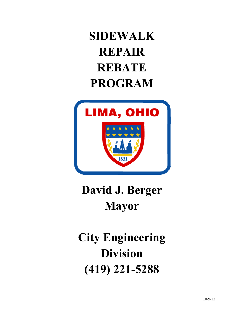## **SIDEWALK REPAIR REBATE PROGRAM**



## **David J. Berger Mayor**

## **City Engineering Division (419) 221-5288**